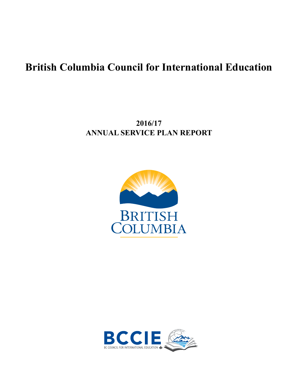# **British Columbia Council for International Education**

# **2016/17 ANNUAL SERVICE PLAN REPORT**



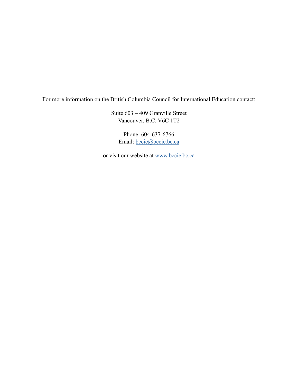For more information on the British Columbia Council for International Education contact:

Suite 603 – 409 Granville Street Vancouver, B.C. V6C 1T2

Phone: 604-637-6766 Email: [bccie@bccie.bc.ca](mailto:bccie%40bccie.bc.ca?subject=)

or visit our website at [www.bccie.bc.ca](http://www.bccie.bc.ca)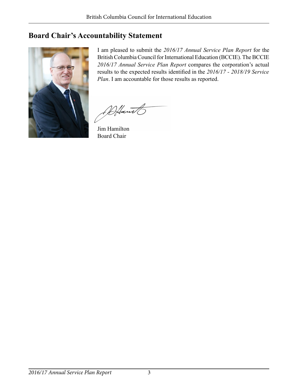# <span id="page-2-0"></span>**Board Chair's Accountability Statement**



I am pleased to submit the *2016/17 Annual Service Plan Report* for the British Columbia Council for International Education (BCCIE). The BCCIE *2016/17 Annual Service Plan Report* compares the corporation's actual results to the expected results identified in the *2016/17 - 2018/19 Service Plan*. I am accountable for those results as reported.

Altant

Jim Hamilton Board Chair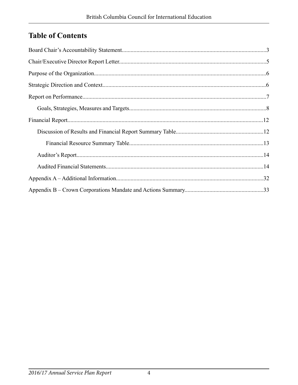# **Table of Contents**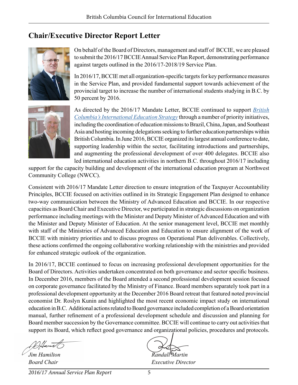# <span id="page-4-0"></span>**Chair/Executive Director Report Letter**



On behalf of the Board of Directors, management and staff of BCCIE, we are pleased to submit the 2016/17 BCCIE Annual Service Plan Report, demonstrating performance against targets outlined in the 2016/17-2018/19 Service Plan.

In 2016/17, BCCIE met all organization-specific targets for key performance measures in the Service Plan, and provided fundamental support towards achievement of the provincial target to increase the number of international students studying in B.C. by 50 percent by 2016.



As directed by the 2016/17 Mandate Letter, BCCIE continued to support *[British](http://www2.gov.bc.ca/assets/gov/education/post-secondary-education/international-education/internationaleducationstrategy_web.pdf)  [Columbia's International Education Strategy](http://www2.gov.bc.ca/assets/gov/education/post-secondary-education/international-education/internationaleducationstrategy_web.pdf)* through a number of priority initiatives, including the coordination of education missions to Brazil, China, Japan, and Southeast Asia and hosting incoming delegations seeking to further education partnerships within British Columbia. In June 2016, BCCIE organized its largest annual conference to date, supporting leadership within the sector, facilitating introductions and partnerships, and augmenting the professional development of over 400 delegates. BCCIE also led international education activities in northern B.C. throughout 2016/17 including

support for the capacity building and development of the international education program at Northwest Community College (NWCC).

Consistent with 2016/17 Mandate Letter direction to ensure integration of the Taxpayer Accountability Principles, BCCIE focused on activities outlined in its Strategic Engagement Plan designed to enhance two-way communication between the Ministry of Advanced Education and BCCIE. In our respective capacities as Board Chair and Executive Director, we participated in strategic discussions on organization performance including meetings with the Minister and Deputy Minister of Advanced Education and with the Minister and Deputy Minister of Education. At the senior management level, BCCIE met monthly with staff of the Ministries of Advanced Education and Education to ensure alignment of the work of BCCIE with ministry priorities and to discuss progress on Operational Plan deliverables. Collectively, these actions confirmed the ongoing collaborative working relationship with the ministries and provided for enhanced strategic outlook of the organization.

In 2016/17, BCCIE continued to focus on increasing professional development opportunities for the Board of Directors. Activities undertaken concentrated on both governance and sector specific business. In December 2016, members of the Board attended a second professional development session focused on corporate governance facilitated by the Ministry of Finance. Board members separately took part in a professional development opportunity at the December 2016 Board retreat that featured noted provincial economist Dr. Roslyn Kunin and highlighted the most recent economic impact study on international education in B.C. Additional actions related to Board governance included completion of a Board orientation manual, further refinement of a professional development schedule and discussion and planning for Board member succession by the Governance committee. BCCIE will continue to carry out activities that support its Board, which reflect good governance and organizational policies, procedures and protocols.

*Iim Hamilton* Randall<sup>U</sup>Martin

*Board Chair Executive Director*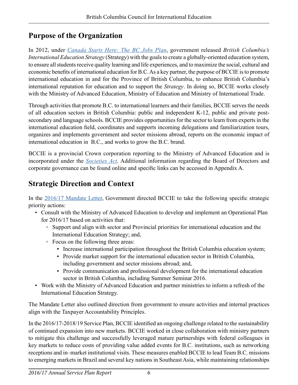# <span id="page-5-0"></span>**Purpose of the Organization**

In 2012, under *[Canada Starts Here: The BC Jobs Plan](https://bcjobsplan.gov.bc.ca/)*, government released *British Columbia's International Education Strategy* (Strategy) with the goals to create a globally-oriented education system, to ensure all students receive quality learning and life experiences, and to maximize the social, cultural and economic benefits of international education for B.C. As a key partner, the purpose of BCCIE is to promote international education in and for the Province of British Columbia, to enhance British Columbia's international reputation for education and to support the *Strategy*. In doing so, BCCIE works closely with the Ministry of Advanced Education, Ministry of Education and Ministry of International Trade.

Through activities that promote B.C. to international learners and their families, BCCIE serves the needs of all education sectors in British Columbia: public and independent K-12, public and private postsecondary and language schools. BCCIE provides opportunities for the sector to learn from experts in the international education field, coordinates and supports incoming delegations and familiarization tours, organizes and implements government and sector missions abroad, reports on the economic impact of international education in B.C., and works to grow the B.C. brand.

BCCIE is a provincial Crown corporation reporting to the Ministry of Advanced Education and is incorporated under the *[Societies Act](http://www.bclaws.ca/civix/document/id/complete/statreg/15018_01)*. Additional information regarding the Board of Directors and corporate governance can be found online and specific links can be accessed in Appendix A.

# **Strategic Direction and Context**

In the [2016/17 Mandate Letter](http://bccie.bc.ca/wp-content/uploads/2016/03/BCCIE-2016-17-Mandate-Letter-1.pdf), Government directed BCCIE to take the following specific strategic priority actions:

- Consult with the Ministry of Advanced Education to develop and implement an Operational Plan for 2016/17 based on activities that:
	- Support and align with sector and Provincial priorities for international education and the International Education Strategy; and,
	- ◦ Focus on the following three areas:
		- Increase international participation throughout the British Columbia education system;
		- Provide market support for the international education sector in British Columbia, including government and sector missions abroad; and,
		- Provide communication and professional development for the international education sector in British Columbia, including Summer Seminar 2016.
- Work with the Ministry of Advanced Education and partner ministries to inform a refresh of the International Education Strategy.

The Mandate Letter also outlined direction from government to ensure activities and internal practices align with the Taxpayer Accountability Principles.

In the 2016/17-2018/19 Service Plan, BCCIE identified an ongoing challenge related to the sustainability of continued expansion into new markets. BCCIE worked in close collaboration with ministry partners to mitigate this challenge and successfully leveraged mature partnerships with federal colleagues in key markets to reduce costs of providing value added events for B.C. institutions, such as networking receptions and in–market institutional visits. These measures enabled BCCIE to lead Team B.C. missions to emerging markets in Brazil and several key nations in Southeast Asia, while maintaining relationships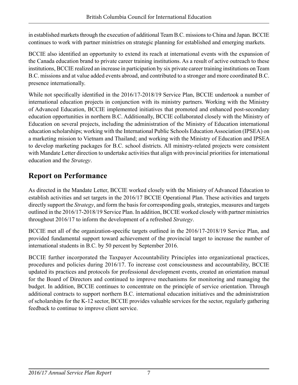<span id="page-6-0"></span>in established markets through the execution of additional Team B.C. missions to China and Japan. BCCIE continues to work with partner ministries on strategic planning for established and emerging markets.

BCCIE also identified an opportunity to extend its reach at international events with the expansion of the Canada education brand to private career training institutions. As a result of active outreach to these institutions, BCCIE realized an increase in participation by six private career training institutions on Team B.C. missions and at value added events abroad, and contributed to a stronger and more coordinated B.C. presence internationally.

While not specifically identified in the 2016/17-2018/19 Service Plan, BCCIE undertook a number of international education projects in conjunction with its ministry partners. Working with the Ministry of Advanced Education, BCCIE implemented initiatives that promoted and enhanced post-secondary education opportunities in northern B.C. Additionally, BCCIE collaborated closely with the Ministry of Education on several projects, including the administration of the Ministry of Education international education scholarships; working with the International Public Schools Education Association (IPSEA) on a marketing mission to Vietnam and Thailand; and working with the Ministry of Education and IPSEA to develop marketing packages for B.C. school districts. All ministry-related projects were consistent with Mandate Letter direction to undertake activities that align with provincial priorities for international education and the *Strategy*.

# **Report on Performance**

As directed in the Mandate Letter, BCCIE worked closely with the Ministry of Advanced Education to establish activities and set targets in the 2016/17 BCCIE Operational Plan. These activities and targets directly support the *Strategy*, and form the basis for corresponding goals, strategies, measures and targets outlined in the 2016/17-2018/19 Service Plan. In addition, BCCIE worked closely with partner ministries throughout 2016/17 to inform the development of a refreshed *Strategy*.

BCCIE met all of the organization-specific targets outlined in the 2016/17-2018/19 Service Plan, and provided fundamental support toward achievement of the provincial target to increase the number of international students in B.C. by 50 percent by September 2016.

BCCIE further incorporated the Taxpayer Accountability Principles into organizational practices, procedures and policies during 2016/17. To increase cost consciousness and accountability, BCCIE updated its practices and protocols for professional development events, created an orientation manual for the Board of Directors and continued to improve mechanisms for monitoring and managing the budget. In addition, BCCIE continues to concentrate on the principle of service orientation. Through additional contracts to support northern B.C. international education initiatives and the administration of scholarships for the K-12 sector, BCCIE provides valuable services for the sector, regularly gathering feedback to continue to improve client service.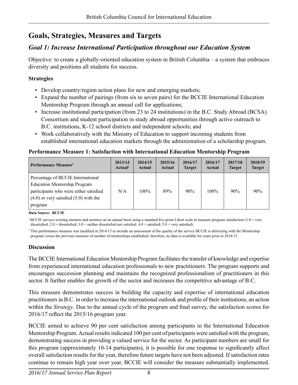# <span id="page-7-0"></span>**Goals, Strategies, Measures and Targets**

## *Goal 1: Increase International Participation throughout our Education System*

Objective: to create a globally-oriented education system in British Columbia – a system that embraces diversity and positions all students for success.

### **Strategies**

- Develop country/region action plans for new and emerging markets;
- Expand the number of pairings (from six to seven pairs) for the BCCIE International Education Mentorship Program through an annual call for applications;
- Increase institutional participation (from 23 to 24 institutions) in the B.C. Study Abroad (BCSA) Consortium and student participation in study abroad opportunities through active outreach to B.C. institutions, K-12 school districts and independent schools; and
- Work collaboratively with the Ministry of Education to support incoming students from established international education markets through the administration of a scholarship program.

## **Performance Measure 1: Satisfaction with International Education Mentorship Program**

| Performance Measure <sup>1</sup>                                                                                                                                            | 2013/14             | 2014/15 | 2015/16 | 2016/17       | 2016/17 | 2017/18       | 2018/19       |
|-----------------------------------------------------------------------------------------------------------------------------------------------------------------------------|---------------------|---------|---------|---------------|---------|---------------|---------------|
|                                                                                                                                                                             | Actual <sup>2</sup> | Actual  | Actual  | <b>Target</b> | Actual  | <b>Target</b> | <b>Target</b> |
| Percentage of BCCIE International<br><b>Education Mentorship Program</b><br>participants who were either satisfied<br>$(4.0)$ or very satisfied $(5.0)$ with the<br>program | N/A                 | $100\%$ | 89%     | 90%           | $100\%$ | 90%           | 90%           |

**Data Source: BCCIE**

<sup>1</sup>BCCIE surveys existing mentors and mentees on an annual basis using a standard five-point Likert scale to measure program satisfaction (1.0 = very dissatisfied; 2.0 = dissatisfied; 3.0 = neither dissatisfied nor satisfied; 4.0 = satisfied; 5.0 = very satisfied).

2 This performance measure was modified in 2014/15 to include an assessment of the quality of the service BCCIE is delivering with the Mentorship program versus the previous measure of number of mentorships established; therefore, no data is available for years prior to 2014/15.

## **Discussion**

The BCCIE International Education Mentorship Program facilitates the transfer of knowledge and expertise from experienced international education professionals to new practitioners. The program supports and encourages succession planning and maintains the recognized professionalism of practitioners in this sector. It further enables the growth of the sector and increases the competitive advantage of B.C.

This measure demonstrates success in building the capacity and expertise of international education practitioners in B.C. in order to increase the international outlook and profile of their institutions, an action within the *Strategy*. Due to the annual cycle of the program and final survey, the satisfaction scores for 2016/17 reflect the 2015/16 program year.

BCCIE aimed to achieve 90 per cent satisfaction among participants in the International Education Mentorship Program. Actual results indicated 100 per cent of participants were satisfied with the program, demonstrating success in providing a valued service for the sector. As participant numbers are small for this program (approximately 10-14 participants), it is possible for one response to significantly affect overall satisfaction results for the year, therefore future targets have not been adjusted. If satisfaction rates continue to remain high year over year, BCCIE will consider the measure substantially implemented.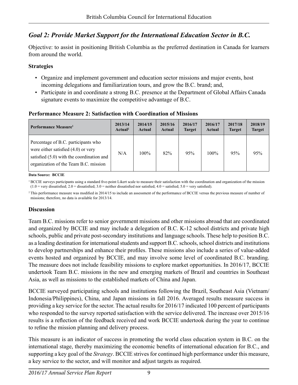# *Goal 2: Provide Market Support for the International Education Sector in B.C.*

Objective: to assist in positioning British Columbia as the preferred destination in Canada for learners from around the world.

### **Strategies**

- Organize and implement government and education sector missions and major events, host incoming delegations and familiarization tours, and grow the B.C. brand; and,
- Participate in and coordinate a strong B.C. presence at the Department of Global Affairs Canada signature events to maximize the competitive advantage of B.C.

| Performance Measure <sup>1</sup>                                                                                                                                     | 2013/14             | 2014/15 | 2015/16 | 2016/17       | 2016/17 | 2017/18       | 2018/19       |
|----------------------------------------------------------------------------------------------------------------------------------------------------------------------|---------------------|---------|---------|---------------|---------|---------------|---------------|
|                                                                                                                                                                      | Actual <sup>2</sup> | Actual  | Actual  | <b>Target</b> | Actual  | <b>Target</b> | <b>Target</b> |
| Percentage of B.C. participants who<br>were either satisfied $(4.0)$ or very<br>satisfied $(5.0)$ with the coordination and<br>organization of the Team B.C. mission | N/A                 | $100\%$ | 82%     | 95%           | $100\%$ | 95%           | 95%           |

## **Performance Measure 2: Satisfaction with Coordination of Missions**

**Data Source: BCCIE**

<sup>1</sup> BCCIE surveys participants using a standard five-point Likert scale to measure their satisfaction with the coordination and organization of the mission  $(1.0 = \text{very dissatisfied}; 2.0 = \text{dissatisfied}; 3.0 = \text{neither dissatisfied}$  nor satisfied;  $4.0 = \text{satisfied}; 5.0 = \text{very satisfied}.$ 

<sup>2</sup> This performance measure was modified in 2014/15 to include an assessment of the performance of BCCIE versus the previous measure of number of missions; therefore, no data is available for 2013/14.

## **Discussion**

Team B.C. missions refer to senior government missions and other missions abroad that are coordinated and organized by BCCIE and may include a delegation of B.C. K-12 school districts and private high schools, public and private post-secondary institutions and language schools. These help to position B.C. as a leading destination for international students and support B.C. schools, school districts and institutions to develop partnerships and enhance their profiles. These missions also include a series of value-added events hosted and organized by BCCIE, and may involve some level of coordinated B.C. branding. The measure does not include feasibility missions to explore market opportunities. In 2016/17, BCCIE undertook Team B.C. missions in the new and emerging markets of Brazil and countries in Southeast Asia, as well as missions to the established markets of China and Japan.

BCCIE surveyed participating schools and institutions following the Brazil, Southeast Asia (Vietnam/ Indonesia/Philippines), China, and Japan missions in fall 2016. Averaged results measure success in providing a key service for the sector. The actual results for 2016/17 indicated 100 percent of participants who responded to the survey reported satisfaction with the service delivered. The increase over 2015/16 results is a reflection of the feedback received and work BCCIE undertook during the year to continue to refine the mission planning and delivery process.

This measure is an indicator of success in promoting the world class education system in B.C. on the international stage, thereby maximizing the economic benefits of international education for B.C., and supporting a key goal of the *Strategy*. BCCIE strives for continued high performance under this measure, a key service to the sector, and will monitor and adjust targets as required.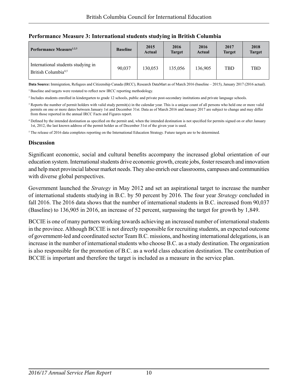| Performance Measure <sup>1,2,3</sup>                                  | <b>Baseline</b> | 2015<br><b>Actual</b> | 2016<br><b>Target</b> | 2016<br>Actual | 2017<br><b>Target</b> | 2018<br><b>Target</b> |
|-----------------------------------------------------------------------|-----------------|-----------------------|-----------------------|----------------|-----------------------|-----------------------|
| International students studying in<br>British Columbia <sup>4,5</sup> | 90.037          | 130.053               | 135,056               | 136,905        | TBD                   | <b>TBD</b>            |

### **Performance Measure 3: International students studying in British Columbia**

**Data Source:** Immigration, Refugees and Citizenship Canada (IRCC), Research DataMart as of March 2016 (baseline – 2015), January 2017 (2016 actual).

<sup>1</sup> Baseline and targets were restated to reflect new IRCC reporting methodology.

<sup>2</sup> Includes students enrolled in kindergarten to grade 12 schools, public and private post-secondary institutions and private language schools.

<sup>3</sup> Reports the number of permit holders with valid study permit(s) in the calendar year. This is a unique count of all persons who held one or more valid permits on one or more dates between January 1st and December 31st. Data as of March 2016 and January 2017 are subject to change and may differ from those reported in the annual IRCC Facts and Figures report.

4 Defined by the intended destination as specified on the permit and, when the intended destination is not specified for permits signed on or after January 1st, 2012, the last known address of the permit holder as of December 31st of the given year is used.

<sup>5</sup> The release of 2016 data completes reporting on the International Education Strategy. Future targets are to be determined.

### **Discussion**

Significant economic, social and cultural benefits accompany the increased global orientation of our education system. International students drive economic growth, create jobs, foster research and innovation and help meet provincial labour market needs. They also enrich our classrooms, campuses and communities with diverse global perspectives.

Government launched the *Strategy* in May 2012 and set an aspirational target to increase the number of international students studying in B.C. by 50 percent by 2016. The four year *Strategy* concluded in fall 2016. The 2016 data shows that the number of international students in B.C. increased from 90,037 (Baseline) to 136,905 in 2016, an increase of 52 percent, surpassing the target for growth by 1,849.

BCCIE is one of many partners working towards achieving an increased number of international students in the province. Although BCCIE is not directly responsible for recruiting students, an expected outcome of government-led and coordinated sector Team B.C. missions, and hosting international delegations, is an increase in the number of international students who choose B.C. as a study destination. The organization is also responsible for the promotion of B.C. as a world class education destination. The contribution of BCCIE is important and therefore the target is included as a measure in the service plan.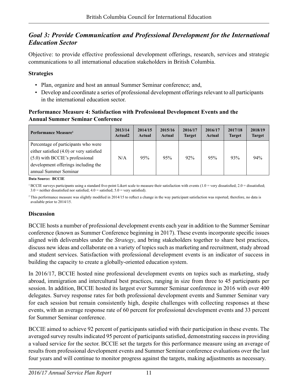## *Goal 3: Provide Communication and Professional Development for the International Education Sector*

Objective: to provide effective professional development offerings, research, services and strategic communications to all international education stakeholders in British Columbia.

### **Strategies**

- Plan, organize and host an annual Summer Seminar conference; and,
- Develop and coordinate a series of professional development offerings relevant to all participants in the international education sector.

### **Performance Measure 4: Satisfaction with Professional Development Events and the Annual Summer Seminar Conference**

| Performance Measure <sup>1</sup>                                                                | 2013/14<br>Actual <sub>2</sub> | 2014/15<br>Actual | 2015/16<br>Actual | 2016/17<br><b>Target</b> | 2016/17<br>Actual | 2017/18<br><b>Target</b> | 2018/19<br><b>Target</b> |
|-------------------------------------------------------------------------------------------------|--------------------------------|-------------------|-------------------|--------------------------|-------------------|--------------------------|--------------------------|
| Percentage of participants who were<br>either satisfied $(4.0)$ or very satisfied               | N/A                            | 95%               | 95%               | 92%                      | 95%               | 93%                      | 94%                      |
| (5.0) with BCCIE's professional<br>development offerings including the<br>annual Summer Seminar |                                |                   |                   |                          |                   |                          |                          |

**Data Source: BCCIE**

<sup>2</sup> This performance measure was slightly modified in 2014/15 to reflect a change in the way participant satisfaction was reported; therefore, no data is available prior to 2014/15.

## **Discussion**

BCCIE hosts a number of professional development events each year in addition to the Summer Seminar conference (known as Summer Conference beginning in 2017). These events incorporate specific issues aligned with deliverables under the *Strategy*, and bring stakeholders together to share best practices, discuss new ideas and collaborate on a variety of topics such as marketing and recruitment, study abroad and student services. Satisfaction with professional development events is an indicator of success in building the capacity to create a globally-oriented education system.

In 2016/17, BCCIE hosted nine professional development events on topics such as marketing, study abroad, immigration and intercultural best practices, ranging in size from three to 45 participants per session. In addition, BCCIE hosted its largest ever Summer Seminar conference in 2016 with over 400 delegates. Survey response rates for both professional development events and Summer Seminar vary for each session but remain consistently high, despite challenges with collecting responses at these events, with an average response rate of 60 percent for professional development events and 33 percent for Summer Seminar conference.

BCCIE aimed to achieve 92 percent of participants satisfied with their participation in these events. The averaged survey results indicated 95 percent of participants satisfied, demonstrating success in providing a valued service for the sector. BCCIE set the targets for this performance measure using an average of results from professional development events and Summer Seminar conference evaluations over the last four years and will continue to monitor progress against the targets, making adjustments as necessary.

 $1 BCCIE$  surveys participants using a standard five-point Likert scale to measure their satisfaction with events  $(1.0 = \text{very dissatisfied}; 2.0 = \text{dissatisfied};$  $3.0$  = neither dissatisfied nor satisfied;  $4.0$  = satisfied;  $5.0$  = very satisfied).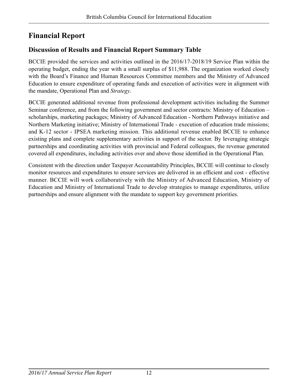# <span id="page-11-0"></span>**Financial Report**

# **Discussion of Results and Financial Report Summary Table**

BCCIE provided the services and activities outlined in the 2016/17-2018/19 Service Plan within the operating budget, ending the year with a small surplus of \$11,988. The organization worked closely with the Board's Finance and Human Resources Committee members and the Ministry of Advanced Education to ensure expenditure of operating funds and execution of activities were in alignment with the mandate, Operational Plan and *Strategy*.

BCCIE generated additional revenue from professional development activities including the Summer Seminar conference, and from the following government and sector contracts: Ministry of Education – scholarships, marketing packages; Ministry of Advanced Education - Northern Pathways initiative and Northern Marketing initiative; Ministry of International Trade - execution of education trade missions; and K-12 sector - IPSEA marketing mission. This additional revenue enabled BCCIE to enhance existing plans and complete supplementary activities in support of the sector. By leveraging strategic partnerships and coordinating activities with provincial and Federal colleagues, the revenue generated covered all expenditures, including activities over and above those identified in the Operational Plan.

Consistent with the direction under Taxpayer Accountability Principles, BCCIE will continue to closely monitor resources and expenditures to ensure services are delivered in an efficient and cost - effective manner. BCCIE will work collaboratively with the Ministry of Advanced Education, Ministry of Education and Ministry of International Trade to develop strategies to manage expenditures, utilize partnerships and ensure alignment with the mandate to support key government priorities.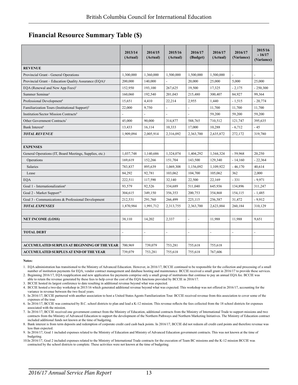## <span id="page-12-0"></span>**Financial Resource Summary Table (\$)**

|                                                                   | 2013/14<br>(Actual) | 2014/15<br>(Actual)      | 2015/16<br>(Actual)      | 2016/17<br>(Budget)      | 2016/17<br>(Actual)      | 2016/17<br>(Variance)    | 2015/16<br>$-16/17$<br>(Variance) |
|-------------------------------------------------------------------|---------------------|--------------------------|--------------------------|--------------------------|--------------------------|--------------------------|-----------------------------------|
| <b>REVENUE</b>                                                    |                     |                          |                          |                          |                          |                          |                                   |
| Provincial Grant - General Operations                             | 1,300,000           | 1,360,000                | 1,500,000                | 1,500,000                | 1,500,000                | $\overline{\phantom{a}}$ | $\overline{\phantom{a}}$          |
| Provincial Grant - Education Quality Assurance (EQA) <sup>1</sup> | 200,000             | 140,000                  |                          | 20,000                   | 25,000                   | 5.000                    | 25,000                            |
| EQA (Renewal and New App Fees) <sup>2</sup>                       | 152,950             | 193,100                  | 267,625                  | 19,500                   | 17,325                   | $-2,175$                 | $-250,300$                        |
| Summer Seminar <sup>3</sup>                                       | 160,060             | 192,540                  | 201,043                  | 215,480                  | 300,407                  | 84,927                   | 99,364                            |
| Professional Development <sup>4</sup>                             | 15,651              | 4,410                    | 22,214                   | 2,955                    | 1,440                    | $-1,515$                 | $-20,774$                         |
| Familiarization Tours (Institutional Support) <sup>5</sup>        | 22,000              | 9,750                    | $\blacksquare$           |                          | 11,700                   | 11,700                   | 11,700                            |
| Institution/Sector Mission Contracts <sup>6</sup>                 |                     |                          |                          |                          | 59,200                   | 59,200                   | 59,200                            |
| Other Government Contracts <sup>7</sup>                           | 45,000              | 90,000                   | 314,877                  | 588,765                  | 710,512                  | 121,747                  | 395,635                           |
| Bank Interest <sup>8</sup>                                        | 13,433              | 16,114                   | 10,333                   | 17,000                   | 10,288                   | $-6,712$                 | $-45$                             |
| <b>TOTAL REVENUE</b>                                              | 1.909.094           | 2,005,914                | 2,316,092                | 2,363,700                | 2,635,872                | 272,172                  | 319,780                           |
|                                                                   |                     |                          |                          |                          |                          |                          |                                   |
| <b>EXPENSES</b>                                                   |                     |                          |                          |                          |                          |                          |                                   |
| General Operations (IT, Board Meetings, Supplies, etc.)           | 1,037,748           | 1,140,686                | 1,324,074                | 1,404,292                | 1,344,324                | $-59,968$                | 20,250                            |
| Operations                                                        | 169,619             | 152,266                  | 151,704                  | 143,500                  | 129,340                  | $-14,160$                | $-22,364$                         |
| Salaries                                                          | 783,837             | 895,639                  | 1,069,308                | 1,156,092                | 1,109,922                | $-46,170$                | 40,614                            |
| Lease                                                             | 84,292              | 92,781                   | 103,062                  | 104,700                  | 105,062                  | 362                      | 2,000                             |
| <b>EQA</b>                                                        | 222,511             | 117,590                  | 32,140                   | 22,500                   | 22,169                   | $-331$                   | $-9,971$                          |
| Goal 1 - Internationalization <sup>9</sup>                        | 93,579              | 92,526                   | 334,689                  | 511,040                  | 645,936                  | 134,896                  | 311,247                           |
| Goal 2 - Market Support <sup>10</sup>                             | 304,615             | 349,150                  | 356,353                  | 200,753                  | 354,868                  | 154,115                  | $-1,485$                          |
| Goal 3 - Communications & Professional Development                | 212,531             | 291,760                  | 266,499                  | 225,115                  | 256,587                  | 31,472                   | $-9,912$                          |
| <b>TOTAL EXPENSES</b>                                             | 1,870,984           | 1,991,712                | 2,313,755                | 2,363,700                | 2,623,884                | 260,184                  | 310,129                           |
|                                                                   |                     |                          |                          |                          |                          |                          |                                   |
| <b>NET INCOME (LOSS)</b>                                          | 38,110              | 14,202                   | 2,337                    | $\overline{\phantom{a}}$ | 11,988                   | 11,988                   | 9.651                             |
|                                                                   |                     |                          |                          |                          |                          |                          |                                   |
| <b>TOTAL DEBT</b>                                                 | $\blacksquare$      | $\overline{\phantom{a}}$ | $\overline{\phantom{a}}$ | $\overline{a}$           | $\overline{\phantom{a}}$ | $\overline{\phantom{a}}$ | $\overline{a}$                    |
|                                                                   |                     |                          |                          |                          |                          |                          |                                   |
| ACCUMULATED SURPLUS AT BEGINNING OF THE YEAR                      | 700,969             | 739,079                  | 753,281                  | 755,618                  | 755,618                  |                          |                                   |
| <b>ACCUMULATED SURPLUS AT END OF THE YEAR</b>                     | 739,079             | 753,281                  | 755,618                  | 755,618                  | 767,606                  |                          |                                   |

**Notes:**

1. EQA administration has transitioned to the Ministry of Advanced Education. However, in 2016/17, BCCIE continued to be responsible for the collection and processing of a small number of institution payments for EQA, vendor contract management and database hosting and maintenance. BCCIE received a small grant in 2016/17 to provide these services.

2. Beginning 2016/17, EQA reapplication and new application fee payments comprise only a small group of institutions that continue to pay an annual EQA fee. BCCIE was

able to retain the revenue generated by these fees to help cover the cost of the EQA functions provided by BCCIE in 2016/17.

3. BCCIE hosted its largest conference to date resulting in additional revenue beyond what was expected. 4. BCCIE hosted a two-day workshop in 2015/16 which generated additional revenue beyond what was expected. This workshop was not offered in 2016/17, accounting for the variance in revenue between the two fiscal years.

5. In 2016/17, BCCIE partnered with another association to host a United States Agents Familiarization Tour. BCCIE received revenue from this association to cover some of the expenses of the tour.

6. In 2016/17, BCCIE was contracted by B.C. school districts to plan and lead a K-12 mission. This revenue reflects the fees collected from the 18 school districts for expenses associated with the mission.

7. In 2016/17, BCCIE received one government contract from the Ministry of Education, additional contracts from the Ministry of International Trade to support missions and two contracts from the Ministry of Advanced Education to support the development of the Northern Pathways and Northern Marketing Initiatives. The Ministry of Education contract included additional funds not known at the time of budgeting.

8. Bank interest is from term deposits and redemption of corporate credit card cash back points. In 2016/17, BCCIE did not redeem all credit card points and therefore revenue was less than expected.

9. In 2016/17, Goal 1 included expenses related to the Ministry of Education and Ministry of Advanced Education government contracts. This was not known at the time of budgeting.

10.In 2016/17, Goal 2 included expenses related to the Ministry of International Trade contracts for the execution of Team BC missions and the K-12 mission BCCIE was contracted by the school districts to complete. These activities were not known at the time of budgeting.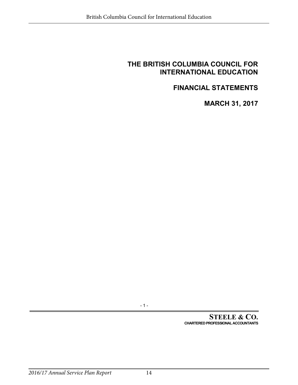# <span id="page-13-0"></span>**FINANCIAL STATEMENTS**

**MARCH 31, 2017**

- 1 -

**STEELE & CO. CHARTERED PROFESSIONAL ACCOUNTANTS**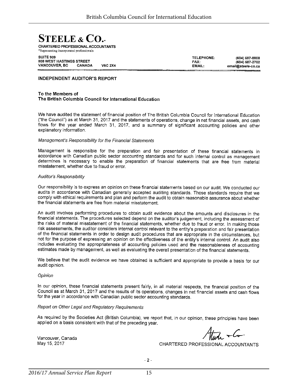

Representing incorporated professionals

| <b>SUITE 909</b>                |               |                |
|---------------------------------|---------------|----------------|
| <b>808 WEST HASTINGS STREET</b> |               |                |
| <b>VANCOUVER, BC</b>            | <b>CANADA</b> | <b>V6C 2X4</b> |

TELEPHONE: FAX: EMAIL:

(604) 687-8808 (604) 687-2702 email@steele-co.ca

#### **INDEPENDENT AUDITOR'S REPORT**

#### To the Members of The British Columbia Council for International Education

We have audited the statement of financial position of The British Columbia Council for International Education ("the Council") as at March 31, 2017 and the statements of operations, change in net financial assets, and cash flows for the year ended March 31, 2017, and a summary of significant accounting policies and other explanatory information.

#### Management's Responsibility for the Financial Statements

Management is responsible for the preparation and fair presentation of these financial statements in accordance with Canadian public sector accounting standards and for such internal control as management determines is necessary to enable the preparation of financial statements that are free from material misstatement, whether due to fraud or error.

#### Auditor's Responsibility

Our responsibility is to express an opinion on these financial statements based on our audit. We conducted our audits in accordance with Canadian generally accepted auditing standards. Those standards require that we comply with ethical requirements and plan and perform the audit to obtain reasonable assurance about whether the financial statements are free from material misstatement.

An audit involves performing procedures to obtain audit evidence about the amounts and disclosures in the financial statements. The procedures selected depend on the auditor's judgement, including the assessment of the risks of material misstatement of the financial statements, whether due to fraud or error. In making those risk assessments, the auditor considers internal control relevant to the entity's preparation and fair presentation of the financial statements in order to design audit procedures that are appropriate in the circumstances, but not for the purpose of expressing an opinion on the effectiveness of the entity's internal control. An audit also includes evaluating the appropriateness of accounting policies used and the reasonableness of accounting estimates made by management, as well as evaluating the overall presentation of the financial statements.

We believe that the audit evidence we have obtained is sufficient and appropriate to provide a basis for our audit opinion.

#### Opinion

In our opinion, these financial statements present fairly, in all material respects, the financial position of the Council as at March 31, 2017 and the results of its operations, changes in net financial assets and cash flows for the year in accordance with Canadian public sector accounting standards.

#### Report on Other Legal and Regulatory Requirements

As required by the Societies Act (British Columbia), we report that, in our opinion, these principles have been applied on a basis consistent with that of the preceding year.

Vancouver, Canada May 15, 2017

 $\frac{1}{\sqrt{1-\frac{1}{2}}}$ 

CHARTERED PROFESSIONAL ACCOUNTANTS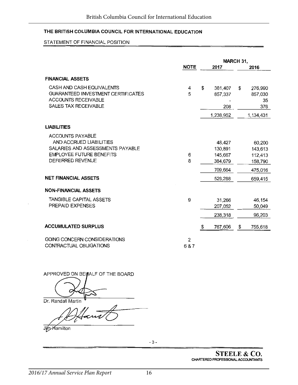#### STATEMENT OF FINANCIAL POSITION

|                                                                                                                                                                              |             | MARCH 31,                                                     |    |                                                               |
|------------------------------------------------------------------------------------------------------------------------------------------------------------------------------|-------------|---------------------------------------------------------------|----|---------------------------------------------------------------|
|                                                                                                                                                                              | <b>NOTE</b> | 2017                                                          |    | 2016                                                          |
| <b>FINANCIAL ASSETS</b>                                                                                                                                                      |             |                                                               |    |                                                               |
| CASH AND CASH EQUIVALENTS<br><b>GUARANTEED INVESTMENT CERTIFICATES</b><br><b>ACCOUNTS RECEIVABLE</b><br>SALES TAX RECEIVABLE                                                 | 4<br>5      | \$<br>381,407<br>857,337<br>208<br>1,238,952                  | \$ | 276,990<br>857,030<br>35<br>376<br>1,134,431                  |
| <b>LIABILITIES</b>                                                                                                                                                           |             |                                                               |    |                                                               |
| <b>ACCOUNTS PAYABLE</b><br>AND ACCRUED LIABILITIES<br>SALARIES AND ASSESSMENTS PAYABLE<br><b>EMPLOYEE FUTURE BENEFITS</b><br>DEFERRED REVENUE<br><b>NET FINANCIAL ASSETS</b> | 6<br>8      | 48,427<br>130,891<br>145,667<br>384,679<br>709,664<br>529,288 |    | 60,200<br>143,613<br>112,413<br>158,790<br>475,016<br>659,415 |
| <b>NON-FINANCIAL ASSETS</b>                                                                                                                                                  |             |                                                               |    |                                                               |
| TANGIBLE CAPITAL ASSETS<br>PREPAID EXPENSES                                                                                                                                  | 9           | 31,266<br>207,052                                             |    | 46,154<br>50,049                                              |
|                                                                                                                                                                              |             | 238,318                                                       |    | 96,203                                                        |
| <b>ACCUMULATED SURPLUS</b>                                                                                                                                                   |             | \$<br>767,606                                                 | \$ | 755,618                                                       |
| GOING CONCERN CONSIDERATIONS<br>CONTRACTUAL OBLIGATIONS                                                                                                                      | 2<br>6 & 7  |                                                               |    |                                                               |

APPROVED ON BEHALF OF THE BOARD

Dr. Randall Martin

Hant

Jim Hamilton

 $-3-$ 

**STEELE & CO.** CHARTERED PROFESSIONAL ACCOUNTANTS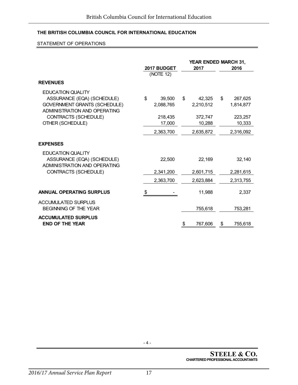#### STATEMENT OF OPERATIONS

|                                                                                                                               |                           |                           | YEAR ENDED MARCH 31,       |
|-------------------------------------------------------------------------------------------------------------------------------|---------------------------|---------------------------|----------------------------|
|                                                                                                                               | 2017 BUDGET<br>(NOTE 12)  | 2017                      | 2016                       |
| <b>REVENUES</b>                                                                                                               |                           |                           |                            |
| <b>EDUCATION QUALITY</b><br>ASSURANCE (EQA) (SCHEDULE)<br><b>GOVERNMENT GRANTS (SCHEDULE)</b><br>ADMINISTRATION AND OPERATING | \$<br>39,500<br>2,088,765 | \$<br>42,325<br>2,210,512 | \$<br>267,625<br>1,814,877 |
| CONTRACTS (SCHEDULE)<br>OTHER (SCHEDULE)                                                                                      | 218,435<br>17,000         | 372,747<br>10,288         | 223,257<br>10,333          |
|                                                                                                                               | 2,363,700                 | 2,635,872                 | 2,316,092                  |
| <b>EXPENSES</b>                                                                                                               |                           |                           |                            |
| <b>EDUCATION QUALITY</b><br>ASSURANCE (EQA) (SCHEDULE)<br>ADMINISTRATION AND OPERATING                                        | 22,500                    | 22,169                    | 32,140                     |
| CONTRACTS (SCHEDULE)                                                                                                          | 2,341,200                 | 2,601,715                 | 2,281,615                  |
|                                                                                                                               | 2,363,700                 | 2,623,884                 | 2,313,755                  |
| <b>ANNUAL OPERATING SURPLUS</b>                                                                                               | \$                        | 11,988                    | 2.337                      |
| <b>ACCUMULATED SURPLUS</b><br><b>BEGINNING OF THE YEAR</b>                                                                    |                           | 755,618                   | 753,281                    |
| <b>ACCUMULATED SURPLUS</b><br><b>END OF THE YEAR</b>                                                                          |                           | \$<br>767,606             | 755,618<br>\$              |

- 4 -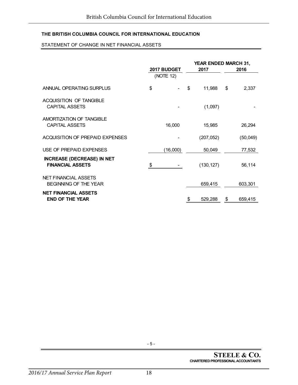#### STATEMENT OF CHANGE IN NET FINANCIAL ASSETS

|                                                              | 2017 BUDGET | YEAR ENDED MARCH 31,<br>2017 | 2016          |
|--------------------------------------------------------------|-------------|------------------------------|---------------|
|                                                              | (NOTE 12)   |                              |               |
| ANNUAL OPERATING SURPLUS                                     | \$          | \$<br>11,988                 | \$<br>2,337   |
| <b>ACQUISITION OF TANGIBLE</b><br><b>CAPITAL ASSETS</b>      |             | (1,097)                      |               |
| AMORTIZATION OF TANGIBLE<br><b>CAPITAL ASSETS</b>            | 16,000      | 15,985                       | 26,294        |
| <b>ACQUISITION OF PREPAID EXPENSES</b>                       |             | (207, 052)                   | (50,049)      |
| USE OF PREPAID EXPENSES                                      | (16,000)    | 50,049                       | 77,532        |
| <b>INCREASE (DECREASE) IN NET</b><br><b>FINANCIAL ASSETS</b> | \$.         | (130, 127)                   | 56,114        |
| <b>NET FINANCIAL ASSETS</b><br>BEGINNING OF THE YEAR         |             | 659,415                      | 603,301       |
| <b>NET FINANCIAL ASSETS</b><br><b>END OF THE YEAR</b>        |             | \$<br>529,288                | \$<br>659,415 |

- 5 -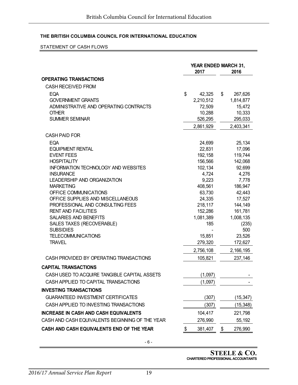#### STATEMENT OF CASH FLOWS

|                                                 | <b>YEAR ENDED MARCH 31,</b><br>2017 |                  |    | 2016             |
|-------------------------------------------------|-------------------------------------|------------------|----|------------------|
| <b>OPERATING TRANSACTIONS</b>                   |                                     |                  |    |                  |
| <b>CASH RECEIVED FROM</b>                       |                                     |                  |    |                  |
| <b>EQA</b>                                      | \$                                  | 42,325           | \$ | 267,626          |
| <b>GOVERNMENT GRANTS</b>                        |                                     | 2,210,512        |    | 1,814,877        |
| ADMINISTRATIVE AND OPERATING CONTRACTS          |                                     | 72,509           |    | 15,472           |
| <b>OTHER</b>                                    |                                     | 10,288           |    | 10,333           |
| <b>SUMMER SEMINAR</b>                           |                                     | 526,295          |    | 295,033          |
|                                                 |                                     | 2,861,929        |    | 2,403,341        |
| <b>CASH PAID FOR</b>                            |                                     |                  |    |                  |
| EQA                                             |                                     | 24,699           |    | 25,134           |
| <b>EQUIPMENT RENTAL</b>                         |                                     | 22,831           |    | 17,096           |
| <b>EVENT FEES</b>                               |                                     | 192,158          |    | 119,744          |
| <b>HOSPITALITY</b>                              |                                     | 156,566          |    | 142,068          |
| <b>INFORMATION TECHNOLOGY AND WEBSITES</b>      |                                     | 102,134          |    | 92,699           |
| <b>INSURANCE</b>                                |                                     | 4,724            |    | 4,276            |
| LEADERSHIP AND ORGANIZATION<br><b>MARKETING</b> |                                     | 9,223<br>408,561 |    | 7,778<br>186,947 |
| OFFICE COMMUNICATIONS                           |                                     | 63,730           |    | 42,443           |
| OFFICE SUPPLIES AND MISCELLANEOUS               |                                     | 24,335           |    | 17,527           |
| PROFESSIONAL AND CONSULTING FEES                |                                     | 218,117          |    | 144,149          |
| <b>RENT AND FACILITIES</b>                      |                                     | 152,286          |    | 161,781          |
| <b>SALARIES AND BENEFITS</b>                    |                                     | 1,081,389        |    | 1,008,135        |
| SALES TAXES (RECOVERABLE)                       |                                     | 185              |    | (235)            |
| <b>SUBSIDIES</b>                                |                                     |                  |    | 500              |
| <b>TELECOMMUNICATIONS</b>                       |                                     | 15,851           |    | 23,526           |
| <b>TRAVEL</b>                                   |                                     | 279,320          |    | 172,627          |
|                                                 |                                     | 2,756,108        |    | 2,166,195        |
| CASH PROVIDED BY OPERATING TRANSACTIONS         |                                     | 105,821          |    | 237,146          |
| <b>CAPITAL TRANSACTIONS</b>                     |                                     |                  |    |                  |
| CASH USED TO ACQUIRE TANGIBLE CAPITAL ASSETS    |                                     | (1,097)          |    |                  |
| CASH APPLIED TO CAPITAL TRANSACTIONS            |                                     | (1,097)          |    |                  |
| <b>INVESTING TRANSACTIONS</b>                   |                                     |                  |    |                  |
| <b>GUARANTEED INVESTMENT CERTIFICATES</b>       |                                     | (307)            |    | (15, 347)        |
| CASH APPLIED TO INVESTING TRANSACTIONS          |                                     | (307)            |    | (15, 348)        |
| <b>INCREASE IN CASH AND CASH EQUIVALENTS</b>    |                                     | 104,417          |    | 221,798          |
| CASH AND CASH EQUIVALENTS BEGINNING OF THE YEAR |                                     | 276,990          |    | 55,192           |
| CASH AND CASH EQUIVALENTS END OF THE YEAR       | \$                                  | 381,407          | \$ | 276,990          |

**STEELE & CO. CHARTERED PROFESSIONAL ACCOUNTANTS**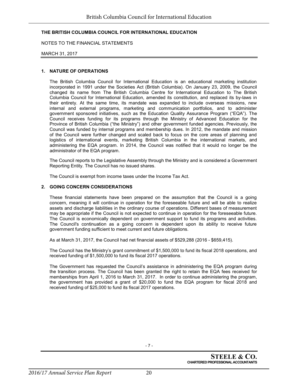NOTES TO THE FINANCIAL STATEMENTS

#### MARCH 31, 2017

#### **1. NATURE OF OPERATIONS**

The British Columbia Council for International Education is an educational marketing institution incorporated in 1991 under the Societies Act (British Columbia). On January 23, 2009, the Council changed its name from The British Columbia Centre for International Education to The British Columbia Council for International Education, amended its constitution, and replaced its by-laws in their entirety. At the same time, its mandate was expanded to include overseas missions, new internal and external programs, marketing and communication portfolios, and to administer government sponsored initiatives, such as the Education Quality Assurance Program ("EQA"). The Council receives funding for its programs through the Ministry of Advanced Education for the Province of British Columbia ("the Ministry") and other government funded agencies. Previously, the Council was funded by internal programs and membership dues. In 2012, the mandate and mission of the Council were further changed and scaled back to focus on the core areas of planning and logistics of international events, marketing British Columbia in the international markets, and administering the EQA program. In 2014, the Council was notified that it would no longer be the administrator of the EQA program.

The Council reports to the Legislative Assembly through the Ministry and is considered a Government Reporting Entity. The Council has no issued shares.

The Council is exempt from income taxes under the Income Tax Act.

#### **2. GOING CONCERN CONSIDERATIONS**

These financial statements have been prepared on the assumption that the Council is a going concern, meaning it will continue in operation for the foreseeable future and will be able to realize assets and discharge liabilities in the ordinary course of operations. Different bases of measurement may be appropriate if the Council is not expected to continue in operation for the foreseeable future. The Council is economically dependent on government support to fund its programs and activities. The Council's continuation as a going concern is dependent upon its ability to receive future government funding sufficient to meet current and future obligations.

As at March 31, 2017, the Council had net financial assets of \$529,288 (2016 - \$659,415).

The Council has the Ministry's grant commitment of \$1,500,000 to fund its fiscal 2018 operations, and received funding of \$1,500,000 to fund its fiscal 2017 operations.

The Government has requested the Council's assistance in administering the EQA program during the transition process. The Council has been granted the right to retain the EQA fees received for memberships from April 1, 2016 to March 31, 2017. In order to continue administering the program, the government has provided a grant of \$20,000 to fund the EQA program for fiscal 2018 and received funding of \$25,000 to fund its fiscal 2017 operations.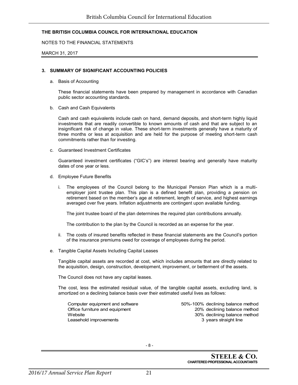#### NOTES TO THE FINANCIAL STATEMENTS

#### MARCH 31, 2017

#### **3. SUMMARY OF SIGNIFICANT ACCOUNTING POLICIES**

a. Basis of Accounting

These financial statements have been prepared by management in accordance with Canadian public sector accounting standards.

b. Cash and Cash Equivalents

Cash and cash equivalents include cash on hand, demand deposits, and short-term highly liquid investments that are readily convertible to known amounts of cash and that are subject to an insignificant risk of change in value. These short-term investments generally have a maturity of three months or less at acquisition and are held for the purpose of meeting short-term cash commitments rather than for investing.

c. Guaranteed Investment Certificates

Guaranteed investment certificates ("GIC's") are interest bearing and generally have maturity dates of one year or less.

- d. Employee Future Benefits
	- i. The employees of the Council belong to the Municipal Pension Plan which is a multiemployer joint trustee plan. This plan is a defined benefit plan, providing a pension on retirement based on the member's age at retirement, length of service, and highest earnings averaged over five years. Inflation adjustments are contingent upon available funding.

The joint trustee board of the plan determines the required plan contributions annually.

The contribution to the plan by the Council is recorded as an expense for the year.

- ii. The costs of insured benefits reflected in these financial statements are the Council's portion of the insurance premiums owed for coverage of employees during the period.
- e. Tangible Capital Assets Including Capital Leases

Tangible capital assets are recorded at cost, which includes amounts that are directly related to the acquisition, design, construction, development, improvement, or betterment of the assets.

The Council does not have any capital leases.

The cost, less the estimated residual value, of the tangible capital assets, excluding land, is amortized on a declining balance basis over their estimated useful lives as follows:

Leasehold improvements and the straight line of the straight line

Computer equipment and software 50%-100% declining balance method Office furniture and equipment 20% declining balance method Website 30% declining balance method

- 8 -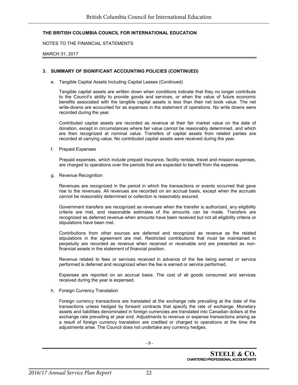NOTES TO THE FINANCIAL STATEMENTS

MARCH 31, 2017

#### **3. SUMMARY OF SIGNIFICANT ACCOUNTING POLICIES (CONTINUED)**

e. Tangible Capital Assets Including Capital Leases (Continued)

Tangible capital assets are written down when conditions indicate that they no longer contribute to the Council's ability to provide goods and services, or when the value of future economic benefits associated with the tangible capital assets is less than their net book value. The net write-downs are accounted for as expenses in the statement of operations. No write downs were recorded during the year.

Contributed capital assets are recorded as revenue at their fair market value on the date of donation, except in circumstances where fair value cannot be reasonably determined, and which are then recognized at nominal value. Transfers of capital assets from related parties are recorded at carrying value. No contributed capital assets were received during the year.

f. Prepaid Expenses

Prepaid expenses, which include prepaid insurance, facility rentals, travel and mission expenses, are charged to operations over the periods that are expected to benefit from the expense.

g. Revenue Recognition

Revenues are recognized in the period in which the transactions or events occurred that gave rise to the revenues. All revenues are recorded on an accrual basis, except when the accruals cannot be reasonably determined or collection is reasonably assured.

Government transfers are recognized as revenues when the transfer is authorized, any eligibility criteria are met, and reasonable estimates of the amounts can be made. Transfers are recognized as deferred revenue when amounts have been received but not all eligibility criteria or stipulations have been met.

Contributions from other sources are deferred and recognized as revenue as the related stipulations in the agreement are met. Restricted contributions that must be maintained in perpetuity are recorded as revenue when received or receivable and are presented as nonfinancial assets in the statement of financial position.

Revenue related to fees or services received in advance of the fee being earned or service performed is deferred and recognized when the fee is earned or service performed.

Expenses are reported on an accrual basis. The cost of all goods consumed and services received during the year is expensed.

h. Foreign Currency Translation

Foreign currency transactions are translated at the exchange rate prevailing at the date of the transactions unless hedged by forward contracts that specify the rate of exchange. Monetary assets and liabilities denominated in foreign currencies are translated into Canadian dollars at the exchange rate prevailing at year end. Adjustments to revenue or expense transactions arising as a result of foreign currency translation are credited or charged to operations at the time the adjustments arise. The Council does not undertake any currency hedges.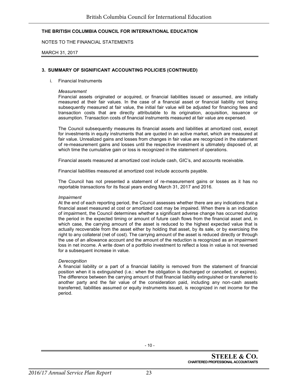NOTES TO THE FINANCIAL STATEMENTS

#### MARCH 31, 2017

#### **3. SUMMARY OF SIGNIFICANT ACCOUNTING POLICIES (CONTINUED)**

#### i. Financial Instruments

#### *Measurement*

Financial assets originated or acquired, or financial liabilities issued or assumed, are initially measured at their fair values. In the case of a financial asset or financial liability not being subsequently measured at fair value, the initial fair value will be adjusted for financing fees and transaction costs that are directly attributable to its origination, acquisition, issuance or assumption. Transaction costs of financial instruments measured at fair value are expensed.

The Council subsequently measures its financial assets and liabilities at amortized cost, except for investments in equity instruments that are quoted in an active market, which are measured at fair value. Unrealized gains and losses from changes in fair value are recognized in the statement of re-measurement gains and losses until the respective investment is ultimately disposed of, at which time the cumulative gain or loss is recognized in the statement of operations.

Financial assets measured at amortized cost include cash, GIC's, and accounts receivable.

Financial liabilities measured at amortized cost include accounts payable.

The Council has not presented a statement of re-measurement gains or losses as it has no reportable transactions for its fiscal years ending March 31, 2017 and 2016.

#### *Impairment*

At the end of each reporting period, the Council assesses whether there are any indications that a financial asset measured at cost or amortized cost may be impaired. When there is an indication of impairment, the Council determines whether a significant adverse change has occurred during the period in the expected timing or amount of future cash flows from the financial asset and, in which case, the carrying amount of the asset is reduced to the highest expected value that is actually recoverable from the asset either by holding that asset, by its sale, or by exercising the right to any collateral (net of cost). The carrying amount of the asset is reduced directly or through the use of an allowance account and the amount of the reduction is recognized as an impairment loss in net income. A write down of a portfolio investment to reflect a loss in value is not reversed for a subsequent increase in value.

#### *Derecognition*

A financial liability or a part of a financial liability is removed from the statement of financial position when it is extinguished (i.e.: when the obligation is discharged or cancelled, or expires). The difference between the carrying amount of that financial liability extinguished or transferred to another party and the fair value of the consideration paid, including any non-cash assets transferred, liabilities assumed or equity instruments issued, is recognized in net income for the period.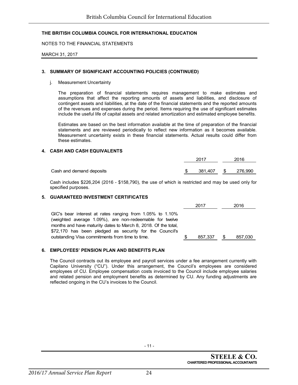NOTES TO THE FINANCIAL STATEMENTS

MARCH 31, 2017

#### **3. SUMMARY OF SIGNIFICANT ACCOUNTING POLICIES (CONTINUED)**

#### j. Measurement Uncertainty

The preparation of financial statements requires management to make estimates and assumptions that affect the reporting amounts of assets and liabilities, and disclosure of contingent assets and liabilities, at the date of the financial statements and the reported amounts of the revenues and expenses during the period. Items requiring the use of significant estimates include the useful life of capital assets and related amortization and estimated employee benefits.

Estimates are based on the best information available at the time of preparation of the financial statements and are reviewed periodically to reflect new information as it becomes available. Measurement uncertainty exists in these financial statements. Actual results could differ from these estimates.

#### **4. CASH AND CASH EQUIVALENTS**

|                          | 2017       | 2016 |         |  |
|--------------------------|------------|------|---------|--|
|                          | 381,407 \$ |      | 276,990 |  |
| Cash and demand deposits |            |      |         |  |

Cash includes \$226,204 (2016 - \$158,790), the use of which is restricted and may be used only for specified purposes.

#### **5. GUARANTEED INVESTMENT CERTIFICATES**

|                                                                                                                                                                                       | 2017    |   | 2016    |
|---------------------------------------------------------------------------------------------------------------------------------------------------------------------------------------|---------|---|---------|
| GIC's bear interest at rates ranging from 1.05% to 1.10%<br>(weighted average 1.09%), are non-redeemable for twelve<br>months and have maturity dates to March 8, 2018. Of the total, |         |   |         |
| \$72,170 has been pledged as security for the Council's                                                                                                                               |         |   |         |
| outstanding Visa commitments from time to time.                                                                                                                                       | 857.337 | S | 857,030 |

#### **6. EMPLOYEES' PENSION PLAN AND BENEFITS PLAN**

The Council contracts out its employee and payroll services under a fee arrangement currently with Capilano University ("CU"). Under this arrangement, the Council's employees are considered employees of CU. Employee compensation costs invoiced to the Council include employee salaries and related pension and employment benefits as determined by CU. Any funding adjustments are reflected ongoing in the CU's invoices to the Council.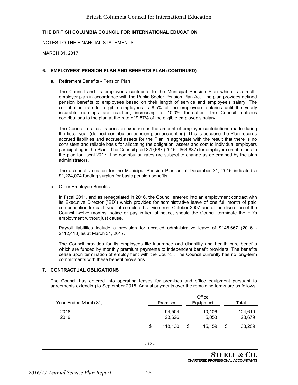NOTES TO THE FINANCIAL STATEMENTS

MARCH 31, 2017

#### **6. EMPLOYEES' PENSION PLAN AND BENEFITS PLAN (CONTINUED)**

a. Retirement Benefits - Pension Plan

The Council and its employees contribute to the Municipal Pension Plan which is a multiemployer plan in accordance with the Public Sector Pension Plan Act. The plan provides defined pension benefits to employees based on their length of service and employee's salary. The contribution rate for eligible employees is 8.5% of the employee's salaries until the yearly insurable earnings are reached, increasing to 10.0% thereafter. The Council matches contributions to the plan at the rate of 9.57% of the eligible employee's salary.

The Council records its pension expense as the amount of employer contributions made during the fiscal year (defined contribution pension plan accounting). This is because the Plan records accrued liabilities and accrued assets for the Plan in aggregate with the result that there is no consistent and reliable basis for allocating the obligation, assets and cost to individual employers participating in the Plan. The Council paid \$79,687 (2016 - \$64,887) for employer contributions to the plan for fiscal 2017. The contribution rates are subject to change as determined by the plan administrators.

The actuarial valuation for the Municipal Pension Plan as at December 31, 2015 indicated a \$1,224,074 funding surplus for basic pension benefits.

b. Other Employee Benefits

In fiscal 2011, and as renegotiated in 2016, the Council entered into an employment contract with its Executive Director ("ED") which provides for administrative leave of one full month of paid compensation for each year of completed service from October 2007 and at the discretion of the Council twelve months' notice or pay in lieu of notice, should the Council terminate the ED's employment without just cause.

Payroll liabilities include a provision for accrued administrative leave of \$145,667 (2016 - \$112,413) as at March 31, 2017.

The Council provides for its employees life insurance and disability and health care benefits which are funded by monthly premium payments to independent benefit providers. The benefits cease upon termination of employment with the Council. The Council currently has no long-term commitments with these benefit provisions.

#### **7. CONTRACTUAL OBLIGATIONS**

The Council has entered into operating leases for premises and office equipment pursuant to agreements extending to September 2018. Annual payments over the remaining terms are as follows:

|                      |               | Office       |               |
|----------------------|---------------|--------------|---------------|
| Year Ended March 31, | Premises      | Equipment    | Total         |
| 2018                 | 94.504        | 10,106       | 104,610       |
| 2019                 | 23,626        | 5,053        | 28,679        |
|                      | \$<br>118,130 | \$<br>15.159 | \$<br>133,289 |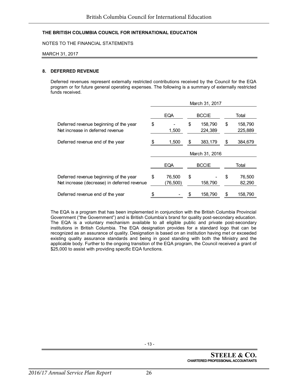NOTES TO THE FINANCIAL STATEMENTS

MARCH 31, 2017

#### **8. DEFERRED REVENUE**

Deferred revenues represent externally restricted contributions received by the Council for the EQA program or for future general operating expenses. The following is a summary of externally restricted funds received.

|                                                                                       | March 31, 2017 |                    |    |                    |    |                    |  |
|---------------------------------------------------------------------------------------|----------------|--------------------|----|--------------------|----|--------------------|--|
|                                                                                       |                | <b>EQA</b>         |    | <b>BCCIE</b>       |    | Total              |  |
| Deferred revenue beginning of the year<br>Net increase in deferred revenue            | \$             | 1,500              | \$ | 158,790<br>224,389 | \$ | 158,790<br>225,889 |  |
| Deferred revenue end of the year                                                      |                | 1,500              | S  | 383,179            | S  | 384,679            |  |
|                                                                                       | March 31, 2016 |                    |    |                    |    |                    |  |
|                                                                                       |                | <b>EQA</b>         |    | <b>BCCIE</b>       |    | Total              |  |
| Deferred revenue beginning of the year<br>Net increase (decrease) in deferred revenue | \$             | 76,500<br>(76,500) | \$ | 158,790            | S  | 76,500<br>82,290   |  |
| Deferred revenue end of the year                                                      |                |                    |    | 158,790            |    | 158,790            |  |

The EQA is a program that has been implemented in conjunction with the British Columbia Provincial Government ("the Government") and is British Columbia's brand for quality post-secondary education. The EQA is a voluntary mechanism available to all eligible public and private post-secondary institutions in British Columbia. The EQA designation provides for a standard logo that can be recognized as an assurance of quality. Designation is based on an institution having met or exceeded existing quality assurance standards and being in good standing with both the Ministry and the applicable body. Further to the ongoing transition of the EQA program, the Council received a grant of \$25,000 to assist with providing specific EQA functions.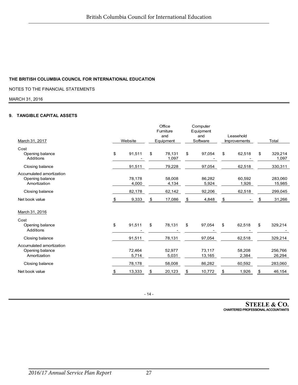NOTES TO THE FINANCIAL STATEMENTS

MARCH 31, 2016

#### **9. TANGIBLE CAPITAL ASSETS**

|                                                             |    |                 |                  | Office<br>Furniture |                 | Computer<br>Equipment |                                  |                 |       |                   |
|-------------------------------------------------------------|----|-----------------|------------------|---------------------|-----------------|-----------------------|----------------------------------|-----------------|-------|-------------------|
| March 31, 2017                                              |    | Website         | and<br>Equipment |                     | and<br>Software |                       | Leasehold<br><b>Improvements</b> |                 | Total |                   |
| Cost<br>Opening balance<br>Additions                        | \$ | 91,511          | \$               | 78,131<br>1,097     | \$              | 97,054                | \$                               | 62,518          | \$    | 329,214<br>1,097  |
| Closing balance                                             |    | 91,511          |                  | 79,228              |                 | 97,054                |                                  | 62,518          |       | 330,311           |
| Accumulated amortization<br>Opening balance<br>Amortization |    | 78,178<br>4,000 |                  | 58,008<br>4,134     |                 | 86,282<br>5,924       |                                  | 60,592<br>1,926 |       | 283,060<br>15,985 |
| Closing balance                                             |    | 82,178          |                  | 62,142              |                 | 92,206                |                                  | 62,518          |       | 299,045           |
| Net book value                                              | S  | 9,333           | \$               | 17,086              | \$              | 4,848                 | \$                               |                 |       | 31,266            |
| March 31, 2016                                              |    |                 |                  |                     |                 |                       |                                  |                 |       |                   |
| Cost<br>Opening balance<br>Additions                        | \$ | 91,511          | \$               | 78,131              | \$              | 97,054                | \$                               | 62,518          | \$    | 329,214           |
| Closing balance                                             |    | 91,511          |                  | 78,131              |                 | 97,054                |                                  | 62,518          |       | 329,214           |
| Accumulated amortization<br>Opening balance<br>Amortization |    | 72.464<br>5,714 |                  | 52.977<br>5,031     |                 | 73.117<br>13,165      |                                  | 58.208<br>2,384 |       | 256.766<br>26,294 |
| Closing balance                                             |    | 78,178          |                  | 58,008              |                 | 86,282                |                                  | 60,592          |       | 283,060           |
| Net book value                                              | S. | 13,333          | S                | 20,123              |                 | 10,772                | \$                               | 1,926           | \$    | 46,154            |

- 14 -

**STEELE & CO. CHARTERED PROFESSIONAL ACCOUNTANTS**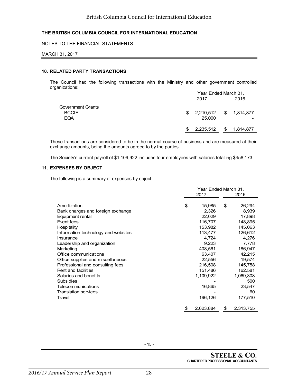#### NOTES TO THE FINANCIAL STATEMENTS

#### MARCH 31, 2017

#### **10. RELATED PARTY TRANSACTIONS**

The Council had the following transactions with the Ministry and other government controlled organizations: Year Ended March 31,

|                   | Year Ended March 31, |                        |    |           |  |
|-------------------|----------------------|------------------------|----|-----------|--|
|                   |                      | 2017                   |    | 2016      |  |
| Government Grants |                      |                        |    |           |  |
| <b>BCCIE</b>      | S.                   | 2,210,512 \$ 1,814,877 |    |           |  |
| <b>EQA</b>        |                      | 25,000                 |    |           |  |
|                   |                      |                        |    |           |  |
|                   |                      | 2,235,512              | \$ | 1,814,877 |  |

These transactions are considered to be in the normal course of business and are measured at their exchange amounts, being the amounts agreed to by the parties.

The Society's current payroll of \$1,109,922 includes four employees with salaries totalling \$458,173.

#### **11. EXPENSES BY OBJECT**

The following is a summary of expenses by object:

|                                     | Year Ended March 31, |                  |    |           |  |  |
|-------------------------------------|----------------------|------------------|----|-----------|--|--|
|                                     | 2017                 |                  |    | 2016      |  |  |
|                                     |                      |                  |    |           |  |  |
| Amortization                        | \$                   | 15,985           | \$ | 26,294    |  |  |
| Bank charges and foreign exchange   |                      | 2,326            |    | 8,939     |  |  |
| Equipment rental                    |                      | 22,029           |    | 17,898    |  |  |
| Event fees                          |                      | 116,707          |    | 148,895   |  |  |
| Hospitality                         |                      | 153,982          |    | 145,063   |  |  |
| Information technology and websites |                      | 113,477          |    | 126,612   |  |  |
| Insurance                           |                      | 4,724            |    | 4,276     |  |  |
| Leadership and organization         |                      | 9,223            |    |           |  |  |
| Marketing                           |                      | 408,561          |    | 186,947   |  |  |
| Office communications               |                      | 63,407           |    | 42,215    |  |  |
| Office supplies and miscellaneous   |                      | 22,556<br>19,574 |    |           |  |  |
| Professional and consulting fees    |                      | 216,508          |    | 145,758   |  |  |
| Rent and facilities                 |                      | 151,486          |    | 162,581   |  |  |
| Salaries and benefits               |                      | 1,109,922        |    | 1,069,308 |  |  |
| Subsidies                           |                      |                  |    | 500       |  |  |
| Telecommunications                  |                      | 16,865           |    | 23,547    |  |  |
| <b>Translation services</b>         |                      |                  |    | 60        |  |  |
| Travel                              |                      | 196,126          |    | 177,510   |  |  |
|                                     |                      |                  |    |           |  |  |
|                                     | \$                   | 2,623,884        | \$ | 2,313,755 |  |  |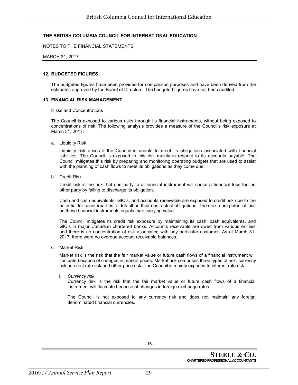#### NOTES TO THE FINANCIAL STATEMENTS

#### MARCH 31, 2017

#### **12. BUDGETED FIGURES**

The budgeted figures have been provided for comparison purposes and have been derived from the estimates approved by the Board of Directors. The budgeted figures have not been audited.

#### **13. FINANCIAL RISK MANAGEMENT**

#### Risks and Concentrations

The Council is exposed to various risks through its financial instruments, without being exposed to concentrations of risk. The following analysis provides a measure of the Council's risk exposure at March 31, 2017.

a. Liquidity Risk

Liquidity risk arises if the Council is unable to meet its obligations associated with financial liabilities. The Council is exposed to this risk mainly in respect to its accounts payable. The Council mitigates this risk by preparing and monitoring operating budgets that are used to assist with the planning of cash flows to meet its obligations as they come due.

b. Credit Risk

Credit risk is the risk that one party to a financial instrument will cause a financial loss for the other party by failing to discharge its obligation.

Cash and cash equivalents, GIC's, and accounts receivable are exposed to credit risk due to the potential for counterparties to default on their contractual obligations. The maximum potential loss on these financial instruments equals their carrying value.

The Council mitigates its credit risk exposure by maintaining its cash, cash equivalents, and GIC's in major Canadian chartered banks. Accounts receivable are owed from various entities and there is no concentration of risk associated with any particular customer. As at March 31, 2017, there were no overdue account receivable balances.

c. Market Risk

Market risk is the risk that the fair market value or future cash flows of a financial instrument will fluctuate because of changes in market prices. Market risk comprises three types of risk: currency risk, interest rate risk and other price risk. The Council is mainly exposed to interest rate risk.

i. *Currency risk*

Currency risk is the risk that the fair market value or future cash flows of a financial instrument will fluctuate because of changes in foreign exchange rates.

The Council is not exposed to any currency risk and does not maintain any foreign denominated financial currencies.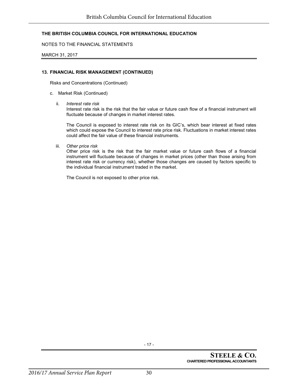NOTES TO THE FINANCIAL STATEMENTS

MARCH 31, 2017

#### **13. FINANCIAL RISK MANAGEMENT (CONTINUED)**

Risks and Concentrations (Continued)

- c. Market Risk (Continued)
	- ii. *Interest rate risk*

Interest rate risk is the risk that the fair value or future cash flow of a financial instrument will fluctuate because of changes in market interest rates.

The Council is exposed to interest rate risk on its GIC's, which bear interest at fixed rates which could expose the Council to interest rate price risk. Fluctuations in market interest rates could affect the fair value of these financial instruments.

iii. *Other price risk*

Other price risk is the risk that the fair market value or future cash flows of a financial instrument will fluctuate because of changes in market prices (other than those arising from interest rate risk or currency risk), whether those changes are caused by factors specific to the individual financial instrument traded in the market.

The Council is not exposed to other price risk.

- 17 -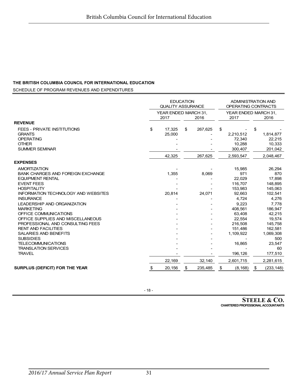SCHEDULE OF PROGRAM REVENUES AND EXPENDITURES

|                                                                                                                  | <b>EDUCATION</b><br><b>QUALITY ASSURANCE</b> |    |         | <b>ADMINISTRATION AND</b><br>OPERATING CONTRACTS |                                          |    |                                          |
|------------------------------------------------------------------------------------------------------------------|----------------------------------------------|----|---------|--------------------------------------------------|------------------------------------------|----|------------------------------------------|
|                                                                                                                  | YEAR ENDED MARCH 31,<br>2016<br>2017         |    |         | YEAR ENDED MARCH 31.<br>2017                     |                                          |    | 2016                                     |
| <b>REVENUE</b>                                                                                                   |                                              |    |         |                                                  |                                          |    |                                          |
| <b>FEES - PRIVATE INSTITUTIONS</b><br><b>GRANTS</b><br><b>OPERATING</b><br><b>OTHER</b><br><b>SUMMER SEMINAR</b> | \$<br>17,325<br>25,000                       | \$ | 267,625 | \$                                               | 2,210,512<br>72,340<br>10,288<br>300,407 | \$ | 1,814,877<br>22,215<br>10,333<br>201,042 |
|                                                                                                                  | 42,325                                       |    | 267,625 |                                                  | 2,593,547                                |    | 2,048,467                                |
| <b>EXPENSES</b>                                                                                                  |                                              |    |         |                                                  |                                          |    |                                          |
| <b>AMORTIZATION</b><br><b>BANK CHARGES AND FOREIGN EXCHANGE</b>                                                  | 1,355                                        |    | 8,069   |                                                  | 15,985<br>971                            |    | 26,294<br>870                            |
| <b>EQUIPMENT RENTAL</b>                                                                                          |                                              |    |         |                                                  | 22,029                                   |    | 17,898                                   |
| <b>EVENT FEES</b><br><b>HOSPITALITY</b>                                                                          |                                              |    |         |                                                  | 116,707<br>153,983                       |    | 148,895<br>145,063                       |
| <b>INFORMATION TECHNOLOGY AND WEBSITES</b><br><b>INSURANCE</b>                                                   | 20,814                                       |    | 24,071  |                                                  | 92.663<br>4.724                          |    | 102,541<br>4.276                         |
| <b>LEADERSHIP AND ORGANIZATION</b>                                                                               |                                              |    |         |                                                  | 9,223                                    |    | 7,778                                    |
| <b>MARKETING</b><br>OFFICE COMMUNICATIONS                                                                        |                                              |    |         |                                                  | 408,561<br>63,408                        |    | 186,947<br>42,215                        |
| OFFICE SUPPLIES AND MISCELLANEOUS<br>PROFESSIONAL AND CONSULTING FEES                                            |                                              |    |         |                                                  | 22,554<br>216,508                        |    | 19,574<br>145,758                        |
| <b>RENT AND FACILITIES</b>                                                                                       |                                              |    |         |                                                  | 151,486                                  |    | 162,581                                  |
| <b>SALARIES AND BENEFITS</b><br><b>SUBSIDIES</b>                                                                 |                                              |    |         |                                                  | 1,109,922                                |    | 1,069,308<br>500                         |
| <b>TELECOMMUNICATIONS</b><br><b>TRANSLATION SERVICES</b>                                                         |                                              |    |         |                                                  | 16,865                                   |    | 23,547<br>60                             |
| <b>TRAVEL</b>                                                                                                    |                                              |    |         |                                                  | 196,126                                  |    | 177,510                                  |
|                                                                                                                  | 22,169                                       |    | 32,140  |                                                  | 2,601,715                                |    | 2,281,615                                |
| <b>SURPLUS (DEFICIT) FOR THE YEAR</b>                                                                            | \$<br>20,156                                 | \$ | 235,485 | \$                                               | (8, 168)                                 | \$ | (233, 148)                               |

**STEELE & CO. CHARTERED PROFESSIONAL ACCOUNTANTS**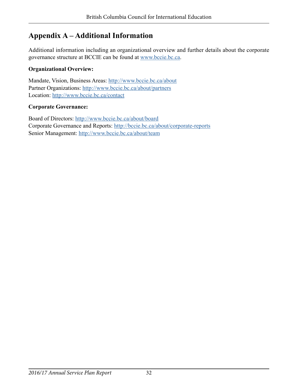# <span id="page-31-0"></span>**Appendix A – Additional Information**

Additional information including an organizational overview and further details about the corporate governance structure at BCCIE can be found at [www.bccie.bc.ca.](http://www.bccie.bc.ca)

### **Organizational Overview:**

Mandate, Vision, Business Areas: <http://www.bccie.bc.ca/about> Partner Organizations: <http://www.bccie.bc.ca/about/partners> Location:<http://www.bccie.bc.ca/contact>

### **Corporate Governance:**

Board of Directors: <http://www.bccie.bc.ca/about/board> Corporate Governance and Reports:<http://bccie.bc.ca/about/corporate-reports> Senior Management: [http://www.bccie.bc.ca/about/team](http://bccie.bc.ca/about/our-team/)